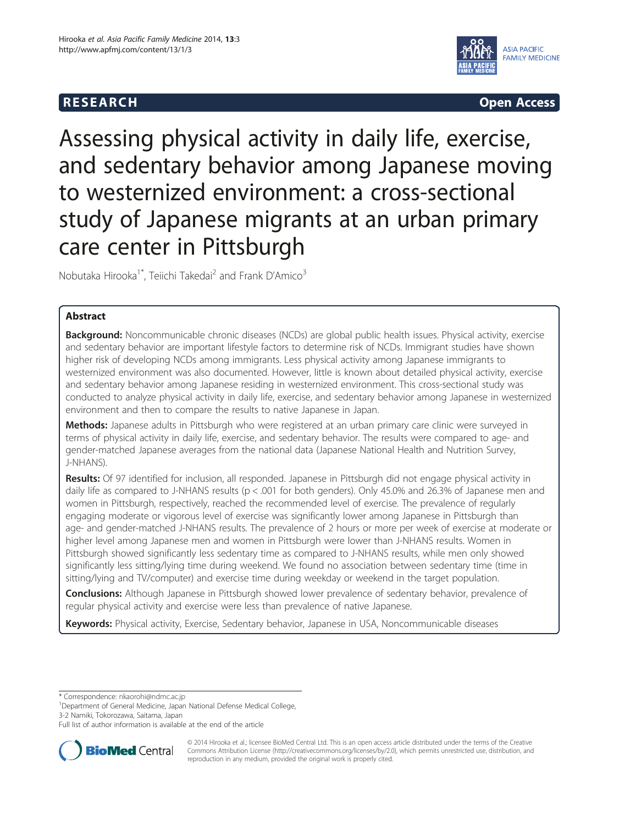## **RESEARCH CHINESEARCH CHINESEARCH**



# Assessing physical activity in daily life, exercise, and sedentary behavior among Japanese moving to westernized environment: a cross-sectional study of Japanese migrants at an urban primary care center in Pittsburgh

Nobutaka Hirooka<sup>1\*</sup>, Teiichi Takedai<sup>2</sup> and Frank D'Amico<sup>3</sup>

### Abstract

Background: Noncommunicable chronic diseases (NCDs) are global public health issues. Physical activity, exercise and sedentary behavior are important lifestyle factors to determine risk of NCDs. Immigrant studies have shown higher risk of developing NCDs among immigrants. Less physical activity among Japanese immigrants to westernized environment was also documented. However, little is known about detailed physical activity, exercise and sedentary behavior among Japanese residing in westernized environment. This cross-sectional study was conducted to analyze physical activity in daily life, exercise, and sedentary behavior among Japanese in westernized environment and then to compare the results to native Japanese in Japan.

Methods: Japanese adults in Pittsburgh who were registered at an urban primary care clinic were surveyed in terms of physical activity in daily life, exercise, and sedentary behavior. The results were compared to age- and gender-matched Japanese averages from the national data (Japanese National Health and Nutrition Survey, J-NHANS).

Results: Of 97 identified for inclusion, all responded. Japanese in Pittsburgh did not engage physical activity in daily life as compared to J-NHANS results (p < .001 for both genders). Only 45.0% and 26.3% of Japanese men and women in Pittsburgh, respectively, reached the recommended level of exercise. The prevalence of regularly engaging moderate or vigorous level of exercise was significantly lower among Japanese in Pittsburgh than age- and gender-matched J-NHANS results. The prevalence of 2 hours or more per week of exercise at moderate or higher level among Japanese men and women in Pittsburgh were lower than J-NHANS results. Women in Pittsburgh showed significantly less sedentary time as compared to J-NHANS results, while men only showed significantly less sitting/lying time during weekend. We found no association between sedentary time (time in sitting/lying and TV/computer) and exercise time during weekday or weekend in the target population.

**Conclusions:** Although Japanese in Pittsburgh showed lower prevalence of sedentary behavior, prevalence of regular physical activity and exercise were less than prevalence of native Japanese.

Keywords: Physical activity, Exercise, Sedentary behavior, Japanese in USA, Noncommunicable diseases

\* Correspondence: [nkaorohi@ndmc.ac.jp](mailto:nkaorohi@ndmc.ac.jp) <sup>1</sup>

<sup>1</sup>Department of General Medicine, Japan National Defense Medical College,

3-2 Namiki, Tokorozawa, Saitama, Japan

Full list of author information is available at the end of the article



© 2014 Hirooka et al.; licensee BioMed Central Ltd. This is an open access article distributed under the terms of the Creative Commons Attribution License [\(http://creativecommons.org/licenses/by/2.0\)](http://creativecommons.org/licenses/by/2.0), which permits unrestricted use, distribution, and reproduction in any medium, provided the original work is properly cited.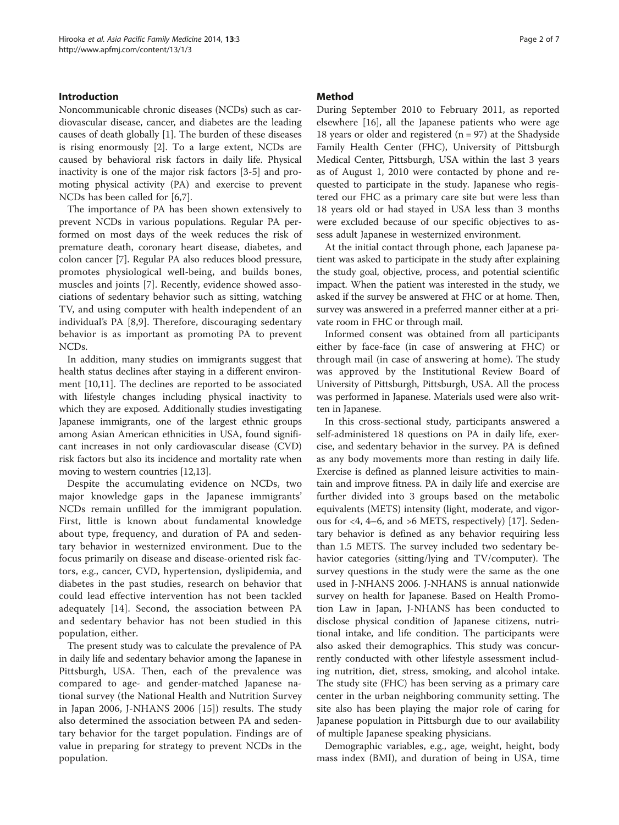#### Introduction

Noncommunicable chronic diseases (NCDs) such as cardiovascular disease, cancer, and diabetes are the leading causes of death globally [\[1](#page-5-0)]. The burden of these diseases is rising enormously [\[2\]](#page-5-0). To a large extent, NCDs are caused by behavioral risk factors in daily life. Physical inactivity is one of the major risk factors [\[3](#page-5-0)-[5\]](#page-5-0) and promoting physical activity (PA) and exercise to prevent NCDs has been called for [[6,7\]](#page-5-0).

The importance of PA has been shown extensively to prevent NCDs in various populations. Regular PA performed on most days of the week reduces the risk of premature death, coronary heart disease, diabetes, and colon cancer [[7](#page-5-0)]. Regular PA also reduces blood pressure, promotes physiological well-being, and builds bones, muscles and joints [[7\]](#page-5-0). Recently, evidence showed associations of sedentary behavior such as sitting, watching TV, and using computer with health independent of an individual's PA [[8,9](#page-5-0)]. Therefore, discouraging sedentary behavior is as important as promoting PA to prevent NCDs.

In addition, many studies on immigrants suggest that health status declines after staying in a different environment [\[10,11](#page-5-0)]. The declines are reported to be associated with lifestyle changes including physical inactivity to which they are exposed. Additionally studies investigating Japanese immigrants, one of the largest ethnic groups among Asian American ethnicities in USA, found significant increases in not only cardiovascular disease (CVD) risk factors but also its incidence and mortality rate when moving to western countries [\[12,13\]](#page-5-0).

Despite the accumulating evidence on NCDs, two major knowledge gaps in the Japanese immigrants' NCDs remain unfilled for the immigrant population. First, little is known about fundamental knowledge about type, frequency, and duration of PA and sedentary behavior in westernized environment. Due to the focus primarily on disease and disease-oriented risk factors, e.g., cancer, CVD, hypertension, dyslipidemia, and diabetes in the past studies, research on behavior that could lead effective intervention has not been tackled adequately [[14\]](#page-5-0). Second, the association between PA and sedentary behavior has not been studied in this population, either.

The present study was to calculate the prevalence of PA in daily life and sedentary behavior among the Japanese in Pittsburgh, USA. Then, each of the prevalence was compared to age- and gender-matched Japanese national survey (the National Health and Nutrition Survey in Japan 2006, J-NHANS 2006 [\[15](#page-5-0)]) results. The study also determined the association between PA and sedentary behavior for the target population. Findings are of value in preparing for strategy to prevent NCDs in the population.

#### Method

During September 2010 to February 2011, as reported elsewhere [\[16\]](#page-6-0), all the Japanese patients who were age 18 years or older and registered ( $n = 97$ ) at the Shadyside Family Health Center (FHC), University of Pittsburgh Medical Center, Pittsburgh, USA within the last 3 years as of August 1, 2010 were contacted by phone and requested to participate in the study. Japanese who registered our FHC as a primary care site but were less than 18 years old or had stayed in USA less than 3 months were excluded because of our specific objectives to assess adult Japanese in westernized environment.

At the initial contact through phone, each Japanese patient was asked to participate in the study after explaining the study goal, objective, process, and potential scientific impact. When the patient was interested in the study, we asked if the survey be answered at FHC or at home. Then, survey was answered in a preferred manner either at a private room in FHC or through mail.

Informed consent was obtained from all participants either by face-face (in case of answering at FHC) or through mail (in case of answering at home). The study was approved by the Institutional Review Board of University of Pittsburgh, Pittsburgh, USA. All the process was performed in Japanese. Materials used were also written in Japanese.

In this cross-sectional study, participants answered a self-administered 18 questions on PA in daily life, exercise, and sedentary behavior in the survey. PA is defined as any body movements more than resting in daily life. Exercise is defined as planned leisure activities to maintain and improve fitness. PA in daily life and exercise are further divided into 3 groups based on the metabolic equivalents (METS) intensity (light, moderate, and vigorous for <4, 4–6, and >6 METS, respectively) [\[17](#page-6-0)]. Sedentary behavior is defined as any behavior requiring less than 1.5 METS. The survey included two sedentary behavior categories (sitting/lying and TV/computer). The survey questions in the study were the same as the one used in J-NHANS 2006. J-NHANS is annual nationwide survey on health for Japanese. Based on Health Promotion Law in Japan, J-NHANS has been conducted to disclose physical condition of Japanese citizens, nutritional intake, and life condition. The participants were also asked their demographics. This study was concurrently conducted with other lifestyle assessment including nutrition, diet, stress, smoking, and alcohol intake. The study site (FHC) has been serving as a primary care center in the urban neighboring community setting. The site also has been playing the major role of caring for Japanese population in Pittsburgh due to our availability of multiple Japanese speaking physicians.

Demographic variables, e.g., age, weight, height, body mass index (BMI), and duration of being in USA, time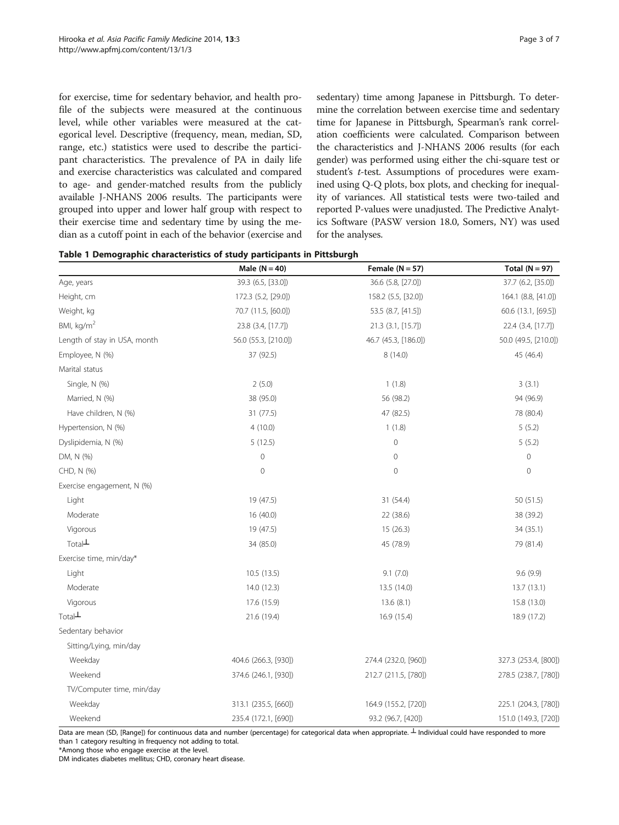<span id="page-2-0"></span>for exercise, time for sedentary behavior, and health profile of the subjects were measured at the continuous level, while other variables were measured at the categorical level. Descriptive (frequency, mean, median, SD, range, etc.) statistics were used to describe the participant characteristics. The prevalence of PA in daily life and exercise characteristics was calculated and compared to age- and gender-matched results from the publicly available J-NHANS 2006 results. The participants were grouped into upper and lower half group with respect to their exercise time and sedentary time by using the median as a cutoff point in each of the behavior (exercise and sedentary) time among Japanese in Pittsburgh. To determine the correlation between exercise time and sedentary time for Japanese in Pittsburgh, Spearman's rank correlation coefficients were calculated. Comparison between the characteristics and J-NHANS 2006 results (for each gender) was performed using either the chi-square test or student's t-test. Assumptions of procedures were examined using Q-Q plots, box plots, and checking for inequality of variances. All statistical tests were two-tailed and reported P-values were unadjusted. The Predictive Analytics Software (PASW version 18.0, Somers, NY) was used for the analyses.

| Table 1 Demographic characteristics of study participants in Pittsburgh |  |
|-------------------------------------------------------------------------|--|
|-------------------------------------------------------------------------|--|

|                              | Male $(N = 40)$      | Female ( $N = 57$ )  | Total $(N = 97)$     |  |
|------------------------------|----------------------|----------------------|----------------------|--|
| Age, years                   | 39.3 (6.5, [33.0])   | 36.6 (5.8, [27.0])   | 37.7 (6.2, [35.0])   |  |
| Height, cm                   | 172.3 (5.2, [29.0])  | 158.2 (5.5, [32.0])  | 164.1 (8.8, [41.0])  |  |
| Weight, kg                   | 70.7 (11.5, [60.0])  | 53.5 (8.7, [41.5])   | 60.6 (13.1, [69.5])  |  |
| BMI, $kg/m2$                 | 23.8 (3.4, [17.7])   | 21.3 (3.1, [15.7])   | 22.4 (3.4, [17.7])   |  |
| Length of stay in USA, month | 56.0 (55.3, [210.0]) | 46.7 (45.3, [186.0]) | 50.0 (49.5, [210.0]) |  |
| Employee, N (%)              | 37 (92.5)            | 8(14.0)              | 45 (46.4)            |  |
| Marital status               |                      |                      |                      |  |
| Single, N (%)                | 2(5.0)               | 1(1.8)               | 3(3.1)               |  |
| Married, N (%)               | 38 (95.0)            | 56 (98.2)            | 94 (96.9)            |  |
| Have children, N (%)         | 31 (77.5)            | 47 (82.5)            | 78 (80.4)            |  |
| Hypertension, N (%)          | 4(10.0)              | 1(1.8)               | 5(5.2)               |  |
| Dyslipidemia, N (%)          | 5(12.5)              | $\mathbf 0$          | 5(5.2)               |  |
| DM, N (%)                    | $\mathbf 0$          | $\mathbf 0$          | 0                    |  |
| CHD, N (%)                   | $\mathbf 0$          | $\mathbb O$          | $\mathbf 0$          |  |
| Exercise engagement, N (%)   |                      |                      |                      |  |
| Light                        | 19 (47.5)            | 31 (54.4)            | 50 (51.5)            |  |
| Moderate                     | 16 (40.0)            | 22 (38.6)            | 38 (39.2)            |  |
| Vigorous                     | 19 (47.5)            | 15(26.3)             | 34 (35.1)            |  |
| $Total+$                     | 34 (85.0)            | 45 (78.9)            | 79 (81.4)            |  |
| Exercise time, min/day*      |                      |                      |                      |  |
| Light                        | 10.5(13.5)           | 9.1(7.0)             | 9.6(9.9)             |  |
| Moderate                     | 14.0 (12.3)          | 13.5 (14.0)          | 13.7 (13.1)          |  |
| Vigorous                     | 17.6 (15.9)          | 13.6(8.1)            | 15.8 (13.0)          |  |
| Total <sup>L</sup>           | 21.6 (19.4)          | 16.9 (15.4)          | 18.9 (17.2)          |  |
| Sedentary behavior           |                      |                      |                      |  |
| Sitting/Lying, min/day       |                      |                      |                      |  |
| Weekday                      | 404.6 (266.3, [930]) | 274.4 (232.0, [960]) | 327.3 (253.4, [800]) |  |
| Weekend                      | 374.6 (246.1, [930]) | 212.7 (211.5, [780]) | 278.5 (238.7, [780]) |  |
| TV/Computer time, min/day    |                      |                      |                      |  |
| Weekday                      | 313.1 (235.5, [660]) | 164.9 (155.2, [720]) | 225.1 (204.3, [780]) |  |
| Weekend                      | 235.4 (172.1, [690]) | 93.2 (96.7, [420])   | 151.0 (149.3, [720]) |  |

Data are mean (SD, [Range]) for continuous data and number (percentage) for categorical data when appropriate. ⊥ Individual could have responded to more than 1 category resulting in frequency not adding to total.

\*Among those who engage exercise at the level.

DM indicates diabetes mellitus; CHD, coronary heart disease.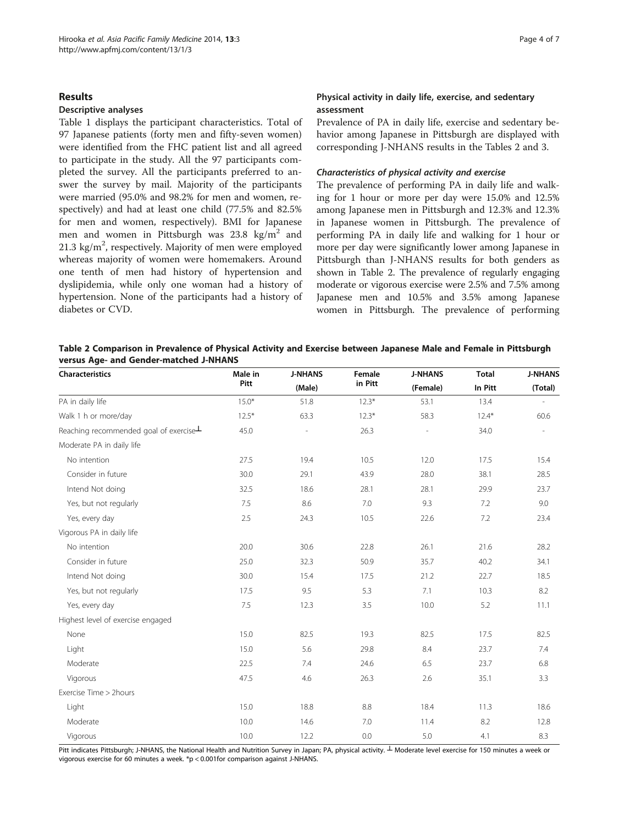#### Results

#### Descriptive analyses

Table [1](#page-2-0) displays the participant characteristics. Total of 97 Japanese patients (forty men and fifty-seven women) were identified from the FHC patient list and all agreed to participate in the study. All the 97 participants completed the survey. All the participants preferred to answer the survey by mail. Majority of the participants were married (95.0% and 98.2% for men and women, respectively) and had at least one child (77.5% and 82.5% for men and women, respectively). BMI for Japanese men and women in Pittsburgh was  $23.8 \text{ kg/m}^2$  and  $21.3 \text{ kg/m}^2$ , respectively. Majority of men were employed whereas majority of women were homemakers. Around one tenth of men had history of hypertension and dyslipidemia, while only one woman had a history of hypertension. None of the participants had a history of diabetes or CVD.

#### Physical activity in daily life, exercise, and sedentary assessment

Prevalence of PA in daily life, exercise and sedentary behavior among Japanese in Pittsburgh are displayed with corresponding J-NHANS results in the Tables 2 and [3](#page-4-0).

#### Characteristics of physical activity and exercise

The prevalence of performing PA in daily life and walking for 1 hour or more per day were 15.0% and 12.5% among Japanese men in Pittsburgh and 12.3% and 12.3% in Japanese women in Pittsburgh. The prevalence of performing PA in daily life and walking for 1 hour or more per day were significantly lower among Japanese in Pittsburgh than J-NHANS results for both genders as shown in Table 2. The prevalence of regularly engaging moderate or vigorous exercise were 2.5% and 7.5% among Japanese men and 10.5% and 3.5% among Japanese women in Pittsburgh. The prevalence of performing

| Table 2 Comparison in Prevalence of Physical Activity and Exercise between Japanese Male and Female in Pittsburgh |  |  |
|-------------------------------------------------------------------------------------------------------------------|--|--|
| versus Age- and Gender-matched J-NHANS                                                                            |  |  |

| Characteristics                       | Male in<br>Pitt | <b>J-NHANS</b><br>(Male) | Female<br>in Pitt | <b>J-NHANS</b><br>(Female) | <b>Total</b><br>In Pitt | <b>J-NHANS</b><br>(Total) |
|---------------------------------------|-----------------|--------------------------|-------------------|----------------------------|-------------------------|---------------------------|
|                                       |                 |                          |                   |                            |                         |                           |
| Walk 1 h or more/day                  | $12.5*$         | 63.3                     | $12.3*$           | 58.3                       | $12.4*$                 | 60.6                      |
| Reaching recommended goal of exercise | 45.0            | ÷,                       | 26.3              | $\frac{1}{2}$              | 34.0                    |                           |
| Moderate PA in daily life             |                 |                          |                   |                            |                         |                           |
| No intention                          | 27.5            | 19.4                     | 10.5              | 12.0                       | 17.5                    | 15.4                      |
| Consider in future                    | 30.0            | 29.1                     | 43.9              | 28.0                       | 38.1                    | 28.5                      |
| Intend Not doing                      | 32.5            | 18.6                     | 28.1              | 28.1                       | 29.9                    | 23.7                      |
| Yes, but not regularly                | 7.5             | 8.6                      | 7.0               | 9.3                        | 7.2                     | 9.0                       |
| Yes, every day                        | 2.5             | 24.3                     | 10.5              | 22.6                       | 7.2                     | 23.4                      |
| Vigorous PA in daily life             |                 |                          |                   |                            |                         |                           |
| No intention                          | 20.0            | 30.6                     | 22.8              | 26.1                       | 21.6                    | 28.2                      |
| Consider in future                    | 25.0            | 32.3                     | 50.9              | 35.7                       | 40.2                    | 34.1                      |
| Intend Not doing                      | 30.0            | 15.4                     | 17.5              | 21.2                       | 22.7                    | 18.5                      |
| Yes, but not regularly                | 17.5            | 9.5                      | 5.3               | 7.1                        | 10.3                    | 8.2                       |
| Yes, every day                        | 7.5             | 12.3                     | 3.5               | 10.0                       | 5.2                     | 11.1                      |
| Highest level of exercise engaged     |                 |                          |                   |                            |                         |                           |
| None                                  | 15.0            | 82.5                     | 19.3              | 82.5                       | 17.5                    | 82.5                      |
| Light                                 | 15.0            | 5.6                      | 29.8              | 8.4                        | 23.7                    | 7.4                       |
| Moderate                              | 22.5            | 7.4                      | 24.6              | 6.5                        | 23.7                    | 6.8                       |
| Vigorous                              | 47.5            | 4.6                      | 26.3              | 2.6                        | 35.1                    | 3.3                       |
| Exercise Time > 2hours                |                 |                          |                   |                            |                         |                           |
| Light                                 | 15.0            | 18.8                     | 8.8               | 18.4                       | 11.3                    | 18.6                      |
| Moderate                              | 10.0            | 14.6                     | 7.0               | 11.4                       | 8.2                     | 12.8                      |
| Vigorous                              | 10.0            | 12.2                     | 0.0               | 5.0                        | 4.1                     | 8.3                       |

Pitt indicates Pittsburgh; J-NHANS, the National Health and Nutrition Survey in Japan; PA, physical activity.  $\perp$  Moderate level exercise for 150 minutes a week or vigorous exercise for 60 minutes a week. \*p < 0.001for comparison against J-NHANS.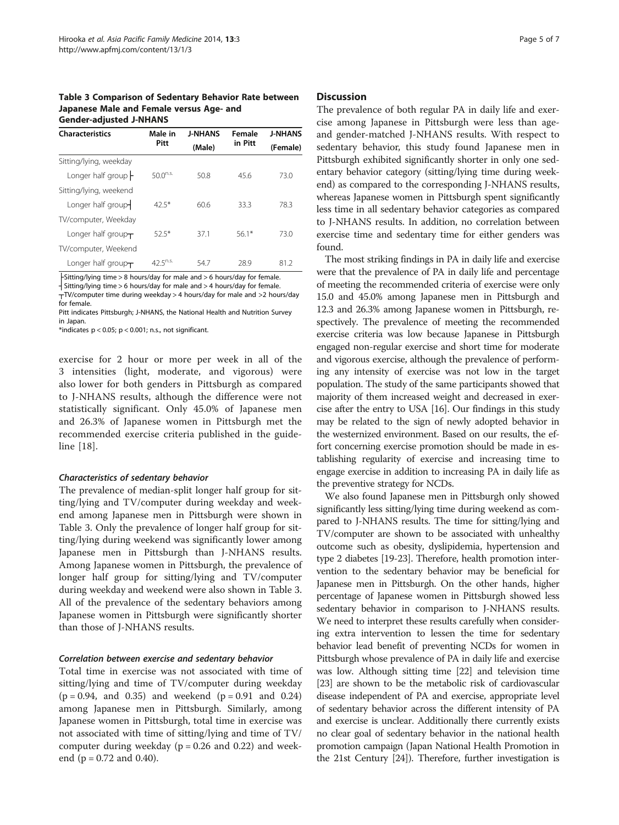<span id="page-4-0"></span>Table 3 Comparison of Sedentary Behavior Rate between Japanese Male and Female versus Age- and Gender-adjusted J-NHANS

| <b>Characteristics</b>     | Male in       | <b>J-NHANS</b> | Female  | <b>J-NHANS</b><br>(Female) |  |
|----------------------------|---------------|----------------|---------|----------------------------|--|
|                            | Pitt          | (Male)         | in Pitt |                            |  |
| Sitting/lying, weekday     |               |                |         |                            |  |
| Longer half group $\vdash$ | $50.0^{n.s.}$ | 50.8           | 456     | 73.0                       |  |
| Sitting/lying, weekend     |               |                |         |                            |  |
| Longer half group-         | 42.5*         | 60.6           | 33.3    | 78.3                       |  |
| TV/computer, Weekday       |               |                |         |                            |  |
| Longer half group $\tau$   | 525*          | 37.1           | $56.1*$ | 73.0                       |  |
| TV/computer, Weekend       |               |                |         |                            |  |
| Longer half group $\tau$   | $42.5^{n.s.}$ | 54.7           | 28.9    | 81.2                       |  |

├Sitting/lying time > 8 hours/day for male and > 6 hours/day for female.

┤Sitting/lying time > 6 hours/day for male and > 4 hours/day for female.

 $T$ TV/computer time during weekday > 4 hours/day for male and >2 hours/day for female.

Pitt indicates Pittsburgh; J-NHANS, the National Health and Nutrition Survey in Japan.

\*indicates  $p < 0.05$ ;  $p < 0.001$ ; n.s., not significant.

exercise for 2 hour or more per week in all of the 3 intensities (light, moderate, and vigorous) were also lower for both genders in Pittsburgh as compared to J-NHANS results, although the difference were not statistically significant. Only 45.0% of Japanese men and 26.3% of Japanese women in Pittsburgh met the recommended exercise criteria published in the guideline [[18\]](#page-6-0).

#### Characteristics of sedentary behavior

The prevalence of median-split longer half group for sitting/lying and TV/computer during weekday and weekend among Japanese men in Pittsburgh were shown in Table 3. Only the prevalence of longer half group for sitting/lying during weekend was significantly lower among Japanese men in Pittsburgh than J-NHANS results. Among Japanese women in Pittsburgh, the prevalence of longer half group for sitting/lying and TV/computer during weekday and weekend were also shown in Table 3. All of the prevalence of the sedentary behaviors among Japanese women in Pittsburgh were significantly shorter than those of J-NHANS results.

#### Correlation between exercise and sedentary behavior

Total time in exercise was not associated with time of sitting/lying and time of TV/computer during weekday  $(p = 0.94, and 0.35)$  and weekend  $(p = 0.91, and 0.24)$ among Japanese men in Pittsburgh. Similarly, among Japanese women in Pittsburgh, total time in exercise was not associated with time of sitting/lying and time of TV/ computer during weekday ( $p = 0.26$  and 0.22) and weekend ( $p = 0.72$  and 0.40).

#### **Discussion**

The prevalence of both regular PA in daily life and exercise among Japanese in Pittsburgh were less than ageand gender-matched J-NHANS results. With respect to sedentary behavior, this study found Japanese men in Pittsburgh exhibited significantly shorter in only one sedentary behavior category (sitting/lying time during weekend) as compared to the corresponding J-NHANS results, whereas Japanese women in Pittsburgh spent significantly less time in all sedentary behavior categories as compared to J-NHANS results. In addition, no correlation between exercise time and sedentary time for either genders was found.

The most striking findings in PA in daily life and exercise were that the prevalence of PA in daily life and percentage of meeting the recommended criteria of exercise were only 15.0 and 45.0% among Japanese men in Pittsburgh and 12.3 and 26.3% among Japanese women in Pittsburgh, respectively. The prevalence of meeting the recommended exercise criteria was low because Japanese in Pittsburgh engaged non-regular exercise and short time for moderate and vigorous exercise, although the prevalence of performing any intensity of exercise was not low in the target population. The study of the same participants showed that majority of them increased weight and decreased in exercise after the entry to USA [\[16](#page-6-0)]. Our findings in this study may be related to the sign of newly adopted behavior in the westernized environment. Based on our results, the effort concerning exercise promotion should be made in establishing regularity of exercise and increasing time to engage exercise in addition to increasing PA in daily life as the preventive strategy for NCDs.

We also found Japanese men in Pittsburgh only showed significantly less sitting/lying time during weekend as compared to J-NHANS results. The time for sitting/lying and TV/computer are shown to be associated with unhealthy outcome such as obesity, dyslipidemia, hypertension and type 2 diabetes [[19](#page-6-0)-[23](#page-6-0)]. Therefore, health promotion intervention to the sedentary behavior may be beneficial for Japanese men in Pittsburgh. On the other hands, higher percentage of Japanese women in Pittsburgh showed less sedentary behavior in comparison to J-NHANS results. We need to interpret these results carefully when considering extra intervention to lessen the time for sedentary behavior lead benefit of preventing NCDs for women in Pittsburgh whose prevalence of PA in daily life and exercise was low. Although sitting time [\[22\]](#page-6-0) and television time [[23](#page-6-0)] are shown to be the metabolic risk of cardiovascular disease independent of PA and exercise, appropriate level of sedentary behavior across the different intensity of PA and exercise is unclear. Additionally there currently exists no clear goal of sedentary behavior in the national health promotion campaign (Japan National Health Promotion in the 21st Century [[24\]](#page-6-0)). Therefore, further investigation is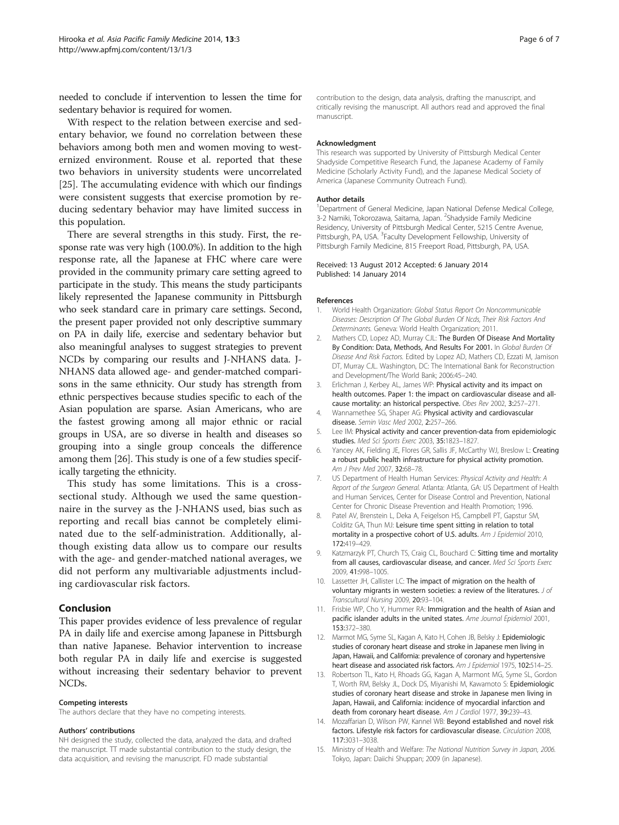<span id="page-5-0"></span>needed to conclude if intervention to lessen the time for sedentary behavior is required for women.

With respect to the relation between exercise and sedentary behavior, we found no correlation between these behaviors among both men and women moving to westernized environment. Rouse et al. reported that these two behaviors in university students were uncorrelated [[25\]](#page-6-0). The accumulating evidence with which our findings were consistent suggests that exercise promotion by reducing sedentary behavior may have limited success in this population.

There are several strengths in this study. First, the response rate was very high (100.0%). In addition to the high response rate, all the Japanese at FHC where care were provided in the community primary care setting agreed to participate in the study. This means the study participants likely represented the Japanese community in Pittsburgh who seek standard care in primary care settings. Second, the present paper provided not only descriptive summary on PA in daily life, exercise and sedentary behavior but also meaningful analyses to suggest strategies to prevent NCDs by comparing our results and J-NHANS data. J-NHANS data allowed age- and gender-matched comparisons in the same ethnicity. Our study has strength from ethnic perspectives because studies specific to each of the Asian population are sparse. Asian Americans, who are the fastest growing among all major ethnic or racial groups in USA, are so diverse in health and diseases so grouping into a single group conceals the difference among them [\[26\]](#page-6-0). This study is one of a few studies specifically targeting the ethnicity.

This study has some limitations. This is a crosssectional study. Although we used the same questionnaire in the survey as the J-NHANS used, bias such as reporting and recall bias cannot be completely eliminated due to the self-administration. Additionally, although existing data allow us to compare our results with the age- and gender-matched national averages, we did not perform any multivariable adjustments including cardiovascular risk factors.

#### Conclusion

This paper provides evidence of less prevalence of regular PA in daily life and exercise among Japanese in Pittsburgh than native Japanese. Behavior intervention to increase both regular PA in daily life and exercise is suggested without increasing their sedentary behavior to prevent NCDs.

#### Competing interests

The authors declare that they have no competing interests.

#### Authors' contributions

NH designed the study, collected the data, analyzed the data, and drafted the manuscript. TT made substantial contribution to the study design, the data acquisition, and revising the manuscript. FD made substantial

contribution to the design, data analysis, drafting the manuscript, and critically revising the manuscript. All authors read and approved the final manuscript.

#### Acknowledgment

This research was supported by University of Pittsburgh Medical Center Shadyside Competitive Research Fund, the Japanese Academy of Family Medicine (Scholarly Activity Fund), and the Japanese Medical Society of America (Japanese Community Outreach Fund).

#### Author details

<sup>1</sup>Department of General Medicine, Japan National Defense Medical College, 3-2 Namiki, Tokorozawa, Saitama, Japan. <sup>2</sup>Shadyside Family Medicine Residency, University of Pittsburgh Medical Center, 5215 Centre Avenue, Pittsburgh, PA, USA. <sup>3</sup> Faculty Development Fellowship, University of Pittsburgh Family Medicine, 815 Freeport Road, Pittsburgh, PA, USA.

#### Received: 13 August 2012 Accepted: 6 January 2014 Published: 14 January 2014

#### References

- 1. World Health Organization: Global Status Report On Noncommunicable Diseases: Description Of The Global Burden Of Ncds, Their Risk Factors And Determinants. Geneva: World Health Organization; 2011.
- 2. Mathers CD, Lopez AD, Murray CJL: The Burden Of Disease And Mortality By Condition: Data, Methods, And Results For 2001. In Global Burden Of Disease And Risk Factors. Edited by Lopez AD, Mathers CD, Ezzati M, Jamison DT, Murray CJL. Washington, DC: The International Bank for Reconstruction and Development/The World Bank; 2006:45–240.
- 3. Erlichman J, Kerbey AL, James WP: Physical activity and its impact on health outcomes. Paper 1: the impact on cardiovascular disease and allcause mortality: an historical perspective. Obes Rev 2002, 3:257–271.
- 4. Wannamethee SG, Shaper AG: Physical activity and cardiovascular disease. Semin Vasc Med 2002, 2:257–266.
- 5. Lee IM: Physical activity and cancer prevention-data from epidemiologic studies. Med Sci Sports Exerc 2003, 35:1823–1827.
- 6. Yancey AK, Fielding JE, Flores GR, Sallis JF, McCarthy WJ, Breslow L: Creating a robust public health infrastructure for physical activity promotion. Am J Prev Med 2007, 32:68–78.
- US Department of Health Human Services: Physical Activity and Health: A Report of the Surgeon General. Atlanta: Atlanta, GA: US Department of Health and Human Services, Center for Disease Control and Prevention, National Center for Chronic Disease Prevention and Health Promotion; 1996.
- 8. Patel AV, Brenstein L, Deka A, Feigelson HS, Campbell PT, Gapstur SM, Colditz GA, Thun MJ: Leisure time spent sitting in relation to total mortality in a prospective cohort of U.S. adults. Am J Epidemiol 2010, 172:419–429.
- 9. Katzmarzyk PT, Church TS, Craig CL, Bouchard C: Sitting time and mortality from all causes, cardiovascular disease, and cancer. Med Sci Sports Exerc 2009, 41:998–1005.
- 10. Lassetter JH, Callister LC: The impact of migration on the health of voluntary migrants in western societies: a review of the literatures. J of Transcultural Nursing 2009, 20:93–104.
- 11. Frisbie WP, Cho Y, Hummer RA: Immigration and the health of Asian and pacific islander adults in the united states. Ame Journal Epidemiol 2001, 153:372–380.
- 12. Marmot MG, Syme SL, Kagan A, Kato H, Cohen JB, Belsky J: Epidemiologic studies of coronary heart disease and stroke in Japanese men living in Japan, Hawaii, and California: prevalence of coronary and hypertensive heart disease and associated risk factors. Am J Epidemiol 1975, 102:514-25.
- 13. Robertson TL, Kato H, Rhoads GG, Kagan A, Marmont MG, Syme SL, Gordon T, Worth RM, Belsky JL, Dock DS, Miyanishi M, Kawamoto S: Epidemiologic studies of coronary heart disease and stroke in Japanese men living in Japan, Hawaii, and California: incidence of myocardial infarction and death from coronary heart disease. Am J Cardiol 1977, 39:239-43.
- 14. Mozaffarian D, Wilson PW, Kannel WB: Beyond established and novel risk factors. Lifestyle risk factors for cardiovascular disease. Circulation 2008, 117:3031–3038.
- 15. Ministry of Health and Welfare: The National Nutrition Survey in Japan, 2006. Tokyo, Japan: Daiichi Shuppan; 2009 (in Japanese).